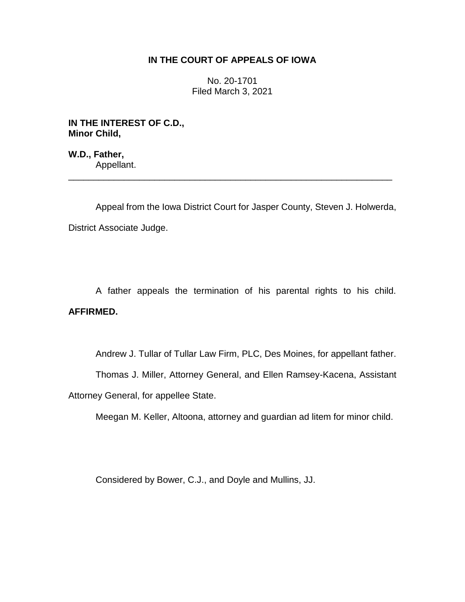## **IN THE COURT OF APPEALS OF IOWA**

No. 20-1701 Filed March 3, 2021

**IN THE INTEREST OF C.D., Minor Child,**

**W.D., Father,** Appellant.

Appeal from the Iowa District Court for Jasper County, Steven J. Holwerda, District Associate Judge.

\_\_\_\_\_\_\_\_\_\_\_\_\_\_\_\_\_\_\_\_\_\_\_\_\_\_\_\_\_\_\_\_\_\_\_\_\_\_\_\_\_\_\_\_\_\_\_\_\_\_\_\_\_\_\_\_\_\_\_\_\_\_\_\_

A father appeals the termination of his parental rights to his child. **AFFIRMED.**

Andrew J. Tullar of Tullar Law Firm, PLC, Des Moines, for appellant father.

Thomas J. Miller, Attorney General, and Ellen Ramsey-Kacena, Assistant

Attorney General, for appellee State.

Meegan M. Keller, Altoona, attorney and guardian ad litem for minor child.

Considered by Bower, C.J., and Doyle and Mullins, JJ.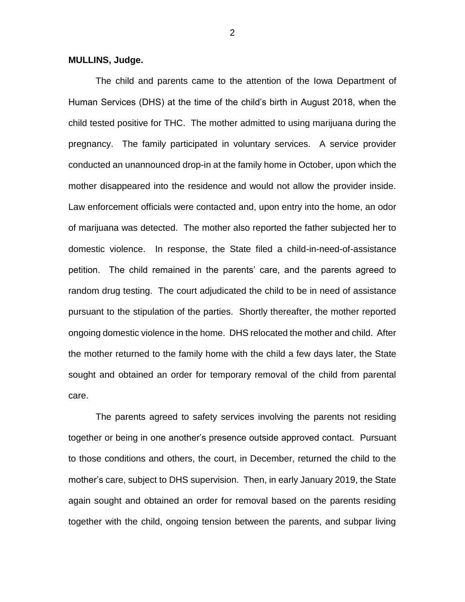**MULLINS, Judge.**

The child and parents came to the attention of the Iowa Department of Human Services (DHS) at the time of the child's birth in August 2018, when the child tested positive for THC. The mother admitted to using marijuana during the pregnancy. The family participated in voluntary services. A service provider conducted an unannounced drop-in at the family home in October, upon which the mother disappeared into the residence and would not allow the provider inside. Law enforcement officials were contacted and, upon entry into the home, an odor of marijuana was detected. The mother also reported the father subjected her to domestic violence. In response, the State filed a child-in-need-of-assistance petition. The child remained in the parents' care, and the parents agreed to random drug testing. The court adjudicated the child to be in need of assistance pursuant to the stipulation of the parties. Shortly thereafter, the mother reported ongoing domestic violence in the home. DHS relocated the mother and child. After the mother returned to the family home with the child a few days later, the State sought and obtained an order for temporary removal of the child from parental care.

The parents agreed to safety services involving the parents not residing together or being in one another's presence outside approved contact. Pursuant to those conditions and others, the court, in December, returned the child to the mother's care, subject to DHS supervision. Then, in early January 2019, the State again sought and obtained an order for removal based on the parents residing together with the child, ongoing tension between the parents, and subpar living

2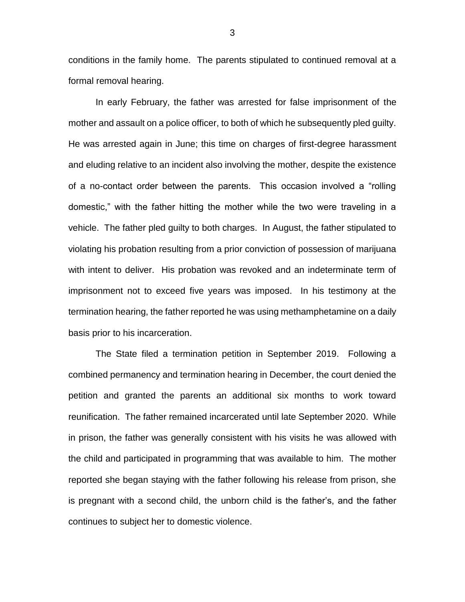conditions in the family home. The parents stipulated to continued removal at a formal removal hearing.

In early February, the father was arrested for false imprisonment of the mother and assault on a police officer, to both of which he subsequently pled guilty. He was arrested again in June; this time on charges of first-degree harassment and eluding relative to an incident also involving the mother, despite the existence of a no-contact order between the parents. This occasion involved a "rolling domestic," with the father hitting the mother while the two were traveling in a vehicle. The father pled guilty to both charges. In August, the father stipulated to violating his probation resulting from a prior conviction of possession of marijuana with intent to deliver. His probation was revoked and an indeterminate term of imprisonment not to exceed five years was imposed. In his testimony at the termination hearing, the father reported he was using methamphetamine on a daily basis prior to his incarceration.

The State filed a termination petition in September 2019. Following a combined permanency and termination hearing in December, the court denied the petition and granted the parents an additional six months to work toward reunification. The father remained incarcerated until late September 2020. While in prison, the father was generally consistent with his visits he was allowed with the child and participated in programming that was available to him. The mother reported she began staying with the father following his release from prison, she is pregnant with a second child, the unborn child is the father's, and the father continues to subject her to domestic violence.

3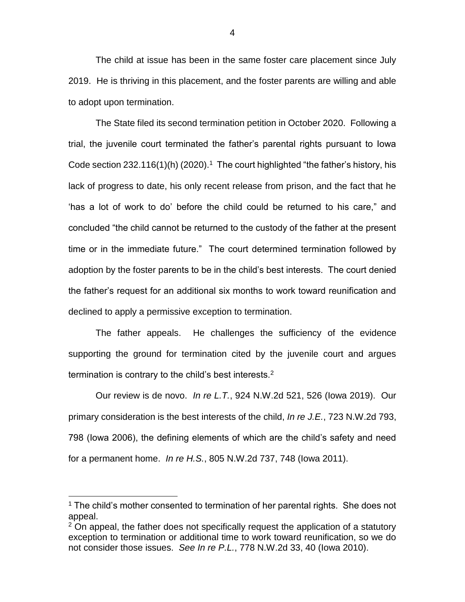The child at issue has been in the same foster care placement since July 2019. He is thriving in this placement, and the foster parents are willing and able to adopt upon termination.

The State filed its second termination petition in October 2020. Following a trial, the juvenile court terminated the father's parental rights pursuant to Iowa Code section  $232.116(1)$ (h) (2020).<sup>1</sup> The court highlighted "the father's history, his lack of progress to date, his only recent release from prison, and the fact that he 'has a lot of work to do' before the child could be returned to his care," and concluded "the child cannot be returned to the custody of the father at the present time or in the immediate future." The court determined termination followed by adoption by the foster parents to be in the child's best interests. The court denied the father's request for an additional six months to work toward reunification and declined to apply a permissive exception to termination.

The father appeals. He challenges the sufficiency of the evidence supporting the ground for termination cited by the juvenile court and argues termination is contrary to the child's best interests.<sup>2</sup>

Our review is de novo. *In re L.T.*, 924 N.W.2d 521, 526 (Iowa 2019). Our primary consideration is the best interests of the child, *In re J.E.*, 723 N.W.2d 793, 798 (Iowa 2006), the defining elements of which are the child's safety and need for a permanent home. *In re H.S.*, 805 N.W.2d 737, 748 (Iowa 2011).

 $\overline{a}$ 

<sup>&</sup>lt;sup>1</sup> The child's mother consented to termination of her parental rights. She does not appeal.

 $2$  On appeal, the father does not specifically request the application of a statutory exception to termination or additional time to work toward reunification, so we do not consider those issues. *See In re P.L.*, 778 N.W.2d 33, 40 (Iowa 2010).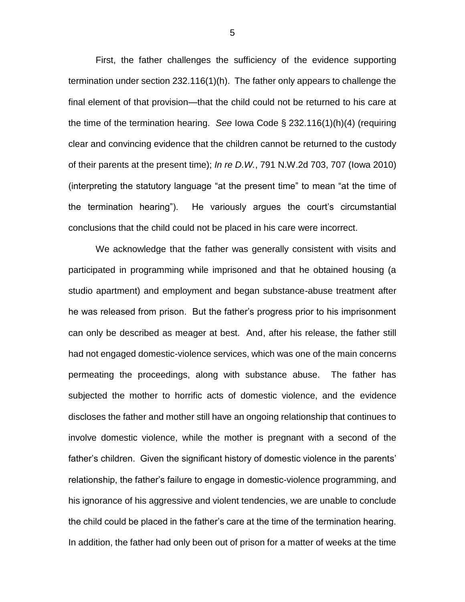First, the father challenges the sufficiency of the evidence supporting termination under section 232.116(1)(h). The father only appears to challenge the final element of that provision—that the child could not be returned to his care at the time of the termination hearing. *See* Iowa Code § 232.116(1)(h)(4) (requiring clear and convincing evidence that the children cannot be returned to the custody of their parents at the present time); *In re D.W.*, 791 N.W.2d 703, 707 (Iowa 2010) (interpreting the statutory language "at the present time" to mean "at the time of the termination hearing"). He variously argues the court's circumstantial conclusions that the child could not be placed in his care were incorrect.

We acknowledge that the father was generally consistent with visits and participated in programming while imprisoned and that he obtained housing (a studio apartment) and employment and began substance-abuse treatment after he was released from prison. But the father's progress prior to his imprisonment can only be described as meager at best. And, after his release, the father still had not engaged domestic-violence services, which was one of the main concerns permeating the proceedings, along with substance abuse. The father has subjected the mother to horrific acts of domestic violence, and the evidence discloses the father and mother still have an ongoing relationship that continues to involve domestic violence, while the mother is pregnant with a second of the father's children. Given the significant history of domestic violence in the parents' relationship, the father's failure to engage in domestic-violence programming, and his ignorance of his aggressive and violent tendencies, we are unable to conclude the child could be placed in the father's care at the time of the termination hearing. In addition, the father had only been out of prison for a matter of weeks at the time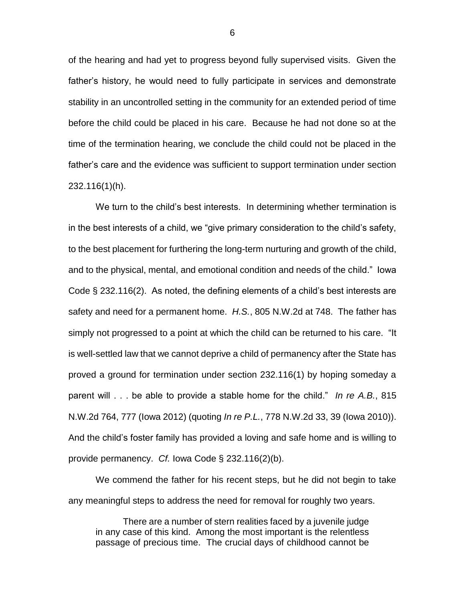of the hearing and had yet to progress beyond fully supervised visits. Given the father's history, he would need to fully participate in services and demonstrate stability in an uncontrolled setting in the community for an extended period of time before the child could be placed in his care. Because he had not done so at the time of the termination hearing, we conclude the child could not be placed in the father's care and the evidence was sufficient to support termination under section 232.116(1)(h).

We turn to the child's best interests. In determining whether termination is in the best interests of a child, we "give primary consideration to the child's safety, to the best placement for furthering the long-term nurturing and growth of the child, and to the physical, mental, and emotional condition and needs of the child." Iowa Code § 232.116(2). As noted, the defining elements of a child's best interests are safety and need for a permanent home. *H.S.*, 805 N.W.2d at 748. The father has simply not progressed to a point at which the child can be returned to his care. "It is well-settled law that we cannot deprive a child of permanency after the State has proved a ground for termination under section 232.116(1) by hoping someday a parent will . . . be able to provide a stable home for the child." *In re A.B.*, 815 N.W.2d 764, 777 (Iowa 2012) (quoting *In re P.L.*, 778 N.W.2d 33, 39 (Iowa 2010)). And the child's foster family has provided a loving and safe home and is willing to provide permanency. *Cf.* Iowa Code § 232.116(2)(b).

We commend the father for his recent steps, but he did not begin to take any meaningful steps to address the need for removal for roughly two years.

There are a number of stern realities faced by a juvenile judge in any case of this kind. Among the most important is the relentless passage of precious time. The crucial days of childhood cannot be